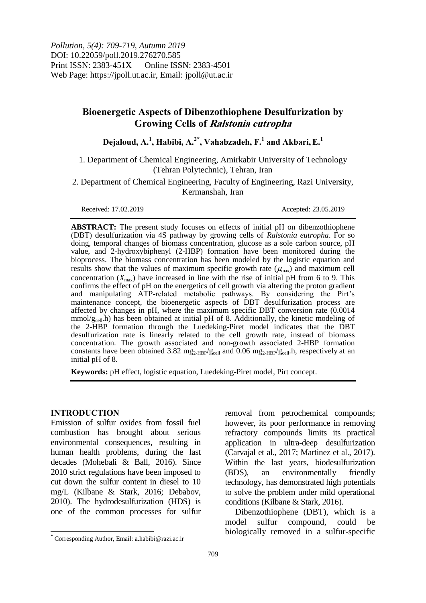# **Bioenergetic Aspects of Dibenzothiophene Desulfurization by Growing Cells of Ralstonia eutropha**

**Dejaloud, A.<sup>1</sup> , Habibi, A.2\* , Vahabzadeh, F.<sup>1</sup> and Akbari,E.<sup>1</sup>**

1. Department of Chemical Engineering, Amirkabir University of Technology (Tehran Polytechnic), Tehran, Iran

2. Department of Chemical Engineering, Faculty of Engineering, Razi University, Kermanshah, Iran

Received: 17.02.2019 Accepted: 23.05.2019

**ABSTRACT:** The present study focuses on effects of initial pH on dibenzothiophene (DBT) desulfurization via 4S pathway by growing cells of *Ralstonia eutropha*. For so doing, temporal changes of biomass concentration, glucose as a sole carbon source, pH value, and 2-hydroxybiphenyl (2-HBP) formation have been monitored during the bioprocess. The biomass concentration has been modeled by the logistic equation and results show that the values of maximum specific growth rate  $(\mu_{max})$  and maximum cell concentration  $(X_{\text{max}})$  have increased in line with the rise of initial pH from 6 to 9. This confirms the effect of pH on the energetics of cell growth via altering the proton gradient and manipulating ATP-related metabolic pathways. By considering the Pirt's maintenance concept, the bioenergetic aspects of DBT desulfurization process are affected by changes in pH, where the maximum specific DBT conversion rate (0.0014  $mmol/g<sub>cell</sub>$ .h) has been obtained at initial pH of 8. Additionally, the kinetic modeling of the 2-HBP formation through the Luedeking-Piret model indicates that the DBT desulfurization rate is linearly related to the cell growth rate, instead of biomass concentration. The growth associated and non-growth associated 2-HBP formation constants have been obtained 3.82 mg<sub>2-HBP</sub>/g<sub>cell</sub> and 0.06 mg<sub>2-HBP</sub>/g<sub>cell</sub>.h, respectively at an initial pH of 8.

**Keywords:** pH effect, logistic equation, Luedeking-Piret model, Pirt concept.

## **INTRODUCTION**

 $\overline{\phantom{a}}$ 

Emission of sulfur oxides from fossil fuel combustion has brought about serious environmental consequences, resulting in human health problems, during the last decades (Mohebali & Ball, 2016). Since 2010 strict regulations have been imposed to cut down the sulfur content in diesel to 10 mg/L (Kilbane & Stark, 2016; Debabov, 2010). The hydrodesulfurization (HDS) is one of the common processes for sulfur

removal from petrochemical compounds; however, its poor performance in removing refractory compounds limits its practical application in ultra-deep desulfurization (Carvajal et al., 2017; Martinez et al., 2017). Within the last years, biodesulfurization (BDS), an environmentally friendly technology, has demonstrated high potentials to solve the problem under mild operational conditions (Kilbane & Stark, 2016).

Dibenzothiophene (DBT), which is a model sulfur compound, could be biologically removed in a sulfur-specific

**<sup>\*</sup>** Corresponding Author, Email: a.habibi@razi.ac.ir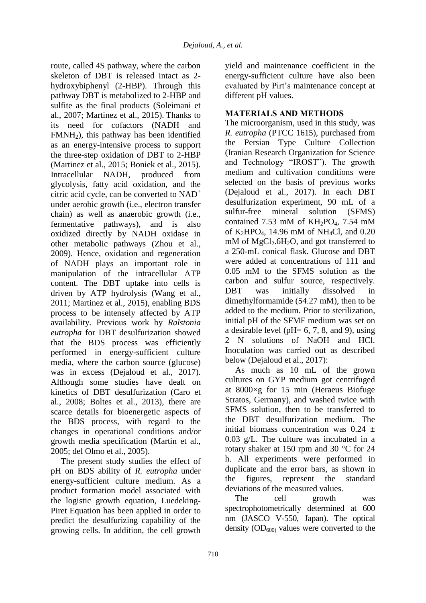route, called 4S pathway, where the carbon skeleton of DBT is released intact as 2 hydroxybiphenyl (2-HBP). Through this pathway DBT is metabolized to 2-HBP and sulfite as the final products (Soleimani et al., 2007; Martinez et al., 2015). Thanks to its need for cofactors (NADH and  $FMMH<sub>2</sub>$ ), this pathway has been identified as an energy-intensive process to support the three-step oxidation of DBT to 2-HBP (Martinez et al., 2015; Boniek et al., 2015). Intracellular NADH, produced from glycolysis, fatty acid oxidation, and the citric acid cycle, can be converted to  $NAD^+$ under aerobic growth (i.e., electron transfer chain) as well as anaerobic growth (i.e., fermentative pathways), and is also oxidized directly by NADH oxidase in other metabolic pathways (Zhou et al., 2009). Hence, oxidation and regeneration of NADH plays an important role in manipulation of the intracellular ATP content. The DBT uptake into cells is driven by ATP hydrolysis (Wang et al., 2011; Martinez et al., 2015), enabling BDS process to be intensely affected by ATP availability. Previous work by *Ralstonia eutropha* for DBT desulfurization showed that the BDS process was efficiently performed in energy-sufficient culture media, where the carbon source (glucose) was in excess (Dejaloud et al., 2017). Although some studies have dealt on kinetics of DBT desulfurization (Caro et al., 2008; Boltes et al., 2013), there are scarce details for bioenergetic aspects of the BDS process, with regard to the changes in operational conditions and/or growth media specification (Martin et al., 2005; del Olmo et al., 2005).

The present study studies the effect of pH on BDS ability of *R. eutropha* under energy-sufficient culture medium. As a product formation model associated with the logistic growth equation, Luedeking-Piret Equation has been applied in order to predict the desulfurizing capability of the growing cells. In addition, the cell growth

yield and maintenance coefficient in the energy-sufficient culture have also been evaluated by Pirt's maintenance concept at different pH values.

## **MATERIALS AND METHODS**

The microorganism, used in this study, was *R. eutropha* (PTCC 1615), purchased from the Persian Type Culture Collection (Iranian Research Organization for Science and Technology "IROST"). The growth medium and cultivation conditions were selected on the basis of previous works (Dejaloud et al., 2017). In each DBT desulfurization experiment, 90 mL of a sulfur-free mineral solution (SFMS) contained 7.53 mM of  $KH_2PO_4$ , 7.54 mM of K2HPO4, 14.96 mM of NH4Cl, and 0.20 mM of  $MgCl<sub>2</sub>$ .6H<sub>2</sub>O, and got transferred to a 250-mL conical flask. Glucose and DBT were added at concentrations of 111 and 0.05 mM to the SFMS solution as the carbon and sulfur source, respectively. DBT was initially dissolved in dimethylformamide (54.27 mM), then to be added to the medium. Prior to sterilization, initial pH of the SFMF medium was set on a desirable level (pH= 6, 7, 8, and 9), using 2 N solutions of NaOH and HCl. Inoculation was carried out as described below (Dejaloud et al., 2017):

As much as 10 mL of the grown cultures on GYP medium got centrifuged at 8000×g for 15 min (Heraeus Biofuge Stratos, Germany), and washed twice with SFMS solution, then to be transferred to the DBT desulfurization medium. The initial biomass concentration was  $0.24 \pm$ 0.03 g/L. The culture was incubated in a rotary shaker at 150 rpm and 30 °C for 24 h. All experiments were performed in duplicate and the error bars, as shown in the figures, represent the standard deviations of the measured values.

The cell growth was spectrophotometrically determined at 600 nm (JASCO V-550, Japan). The optical density  $OD_{600}$  values were converted to the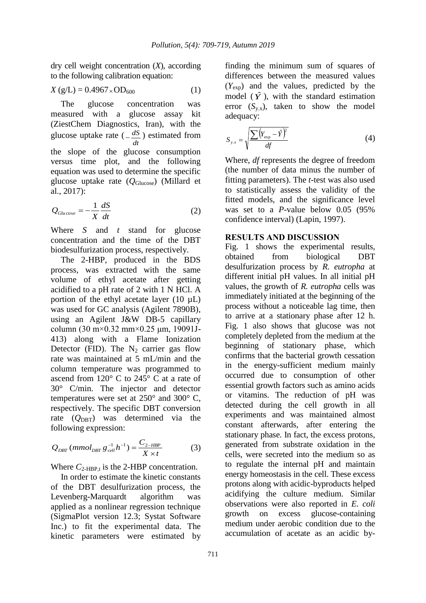dry cell weight concentration (*X*), according to the following calibration equation:

$$
X(g/L) = 0.4967 \times OD_{600}
$$
 (1)

The glucose concentration was measured with a glucose assay kit (ZiestChem Diagnostics, Iran), with the glucose uptake rate ( *dt*  $\frac{dS}{dt}$ ) estimated from the slope of the glucose consumption versus time plot, and the following equation was used to determine the specific glucose uptake rate (*Q*Glucose) (Millard et al., 2017):

$$
Q_{Glucose} = -\frac{1}{X} \frac{dS}{dt}
$$
 (2)

Where *S* and *t* stand for glucose concentration and the time of the DBT biodesulfurization process, respectively.

The 2-HBP, produced in the BDS process, was extracted with the same volume of ethyl acetate after getting acidified to a pH rate of 2 with 1 N HCl. A portion of the ethyl acetate layer  $(10 \mu L)$ was used for GC analysis (Agilent 7890B), using an Agilent J&W DB-5 capillary column (30 m×0.32 mm×0.25 μm, 19091J-413) along with a Flame Ionization Detector (FID). The  $N_2$  carrier gas flow rate was maintained at 5 mL/min and the column temperature was programmed to ascend from 120° C to 245° C at a rate of 30° C/min. The injector and detector temperatures were set at 250° and 300° C, respectively. The specific DBT conversion rate (Q<sub>DBT</sub>) was determined via the following expression:

$$
Q_{DBT} (mmol_{DBT} g_{cell}^{-1} h^{-1}) = \frac{C_{2-HBP}}{X \times t}
$$
 (3)

Where  $C_{2-HBP,t}$  is the 2-HBP concentration.

In order to estimate the kinetic constants of the DBT desulfurization process, the Levenberg-Marquardt algorithm was applied as a nonlinear regression technique (SigmaPlot version 12.3; Systat Software Inc.) to fit the experimental data. The kinetic parameters were estimated by finding the minimum sum of squares of differences between the measured values (*Y*exp) and the values, predicted by the model  $(\hat{Y})$ , with the standard estimation error  $(S_{v.x})$ , taken to show the model adequacy:

$$
S_{y.x} = \sqrt{\frac{\sum (Y_{\text{exp}} - \hat{Y})^2}{df}}
$$
(4)

Where, *df* represents the degree of freedom (the number of data minus the number of fitting parameters). The *t*-test was also used to statistically assess the validity of the fitted models, and the significance level was set to a *P*-value below 0.05 (95% confidence interval) (Lapin, 1997).

## **RESULTS AND DISCUSSION**

Fig. 1 shows the experimental results, obtained from biological DBT desulfurization process by *R. eutropha* at different initial pH values. In all initial pH values, the growth of *R. eutropha* cells was immediately initiated at the beginning of the process without a noticeable lag time, then to arrive at a stationary phase after 12 h. Fig. 1 also shows that glucose was not completely depleted from the medium at the beginning of stationary phase, which confirms that the bacterial growth cessation in the energy-sufficient medium mainly occurred due to consumption of other essential growth factors such as amino acids or vitamins. The reduction of pH was detected during the cell growth in all experiments and was maintained almost constant afterwards, after entering the stationary phase. In fact, the excess protons, generated from substrate oxidation in the cells, were secreted into the medium so as to regulate the internal pH and maintain energy homeostasis in the cell. These excess protons along with acidic-byproducts helped acidifying the culture medium. Similar observations were also reported in *E. coli* growth on excess glucose-containing medium under aerobic condition due to the accumulation of acetate as an acidic by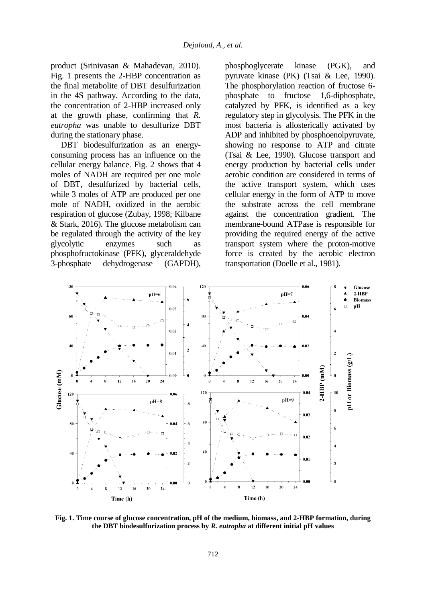product (Srinivasan & Mahadevan, 2010). Fig. 1 presents the 2-HBP concentration as the final metabolite of DBT desulfurization in the 4S pathway. According to the data, the concentration of 2-HBP increased only at the growth phase, confirming that *R. eutropha* was unable to desulfurize DBT during the stationary phase.

DBT biodesulfurization as an energyconsuming process has an influence on the cellular energy balance. Fig. 2 shows that 4 moles of NADH are required per one mole of DBT, desulfurized by bacterial cells, while 3 moles of ATP are produced per one mole of NADH, oxidized in the aerobic respiration of glucose (Zubay, 1998; Kilbane & Stark, 2016). The glucose metabolism can be regulated through the activity of the key glycolytic enzymes such as phosphofructokinase (PFK), glyceraldehyde 3-phosphate dehydrogenase (GAPDH), phosphoglycerate kinase (PGK), and pyruvate kinase (PK) (Tsai & Lee, 1990). The phosphorylation reaction of fructose 6 phosphate to fructose 1,6-diphosphate, catalyzed by PFK, is identified as a key regulatory step in glycolysis. The PFK in the most bacteria is allosterically activated by ADP and inhibited by phosphoenolpyruvate, showing no response to ATP and citrate (Tsai & Lee, 1990). Glucose transport and energy production by bacterial cells under aerobic condition are considered in terms of the active transport system, which uses cellular energy in the form of ATP to move the substrate across the cell membrane against the concentration gradient. The membrane-bound ATPase is responsible for providing the required energy of the active transport system where the proton-motive force is created by the aerobic electron transportation (Doelle et al., 1981).



**Fig. 1. Time course of glucose concentration, pH of the medium, biomass, and 2-HBP formation, during the DBT biodesulfurization process by** *R. eutropha* **at different initial pH values**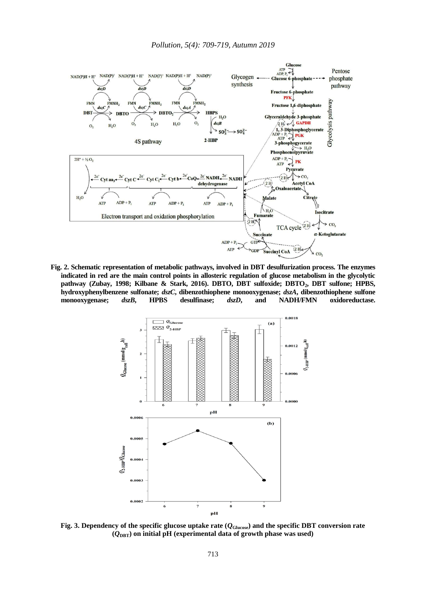

**Fig. 2. Schematic representation of metabolic pathways, involved in DBT desulfurization process. The enzymes indicated in red are the main control points in allosteric regulation of glucose metabolism in the glycolytic pathway (Zubay, 1998; Kilbane & Stark, 2016). DBTO, DBT sulfoxide; DBTO2, DBT sulfone; HPBS, hydroxyphenylbenzene sulfonate;** *dszC***, dibenzothiophene monooxygenase;** *dszA***, dibenzothiophene sulfone monooxygenase;** *dszB***, HPBS desulfinase;** *dszD***, and NADH/FMN oxidoreductase.**



**Fig. 3. Dependency of the specific glucose uptake rate**  $(Q_{\text{Glucose}})$  **and the specific DBT conversion rate (***Q***DBT) on initial pH (experimental data of growth phase was used)**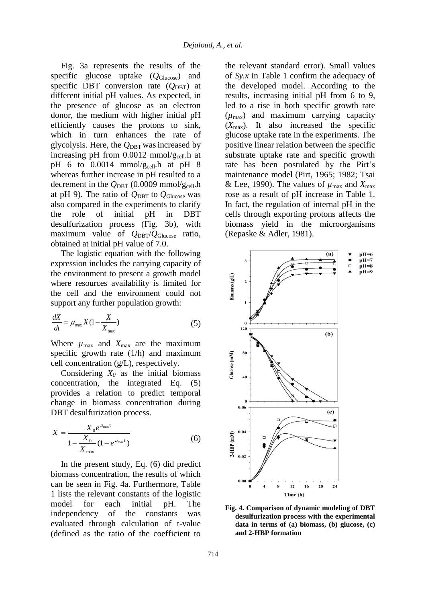Fig. 3a represents the results of the specific glucose uptake (*Q*Glucose) and specific DBT conversion rate  $(Q<sub>DBT</sub>)$  at different initial pH values. As expected, in the presence of glucose as an electron donor, the medium with higher initial pH efficiently causes the protons to sink, which in turn enhances the rate of glycolysis. Here, the  $Q_{\text{DBT}}$  was increased by increasing pH from  $0.0012$  mmol/g<sub>cell</sub>.h at pH 6 to 0.0014 mmol/gcell.h at pH 8 whereas further increase in pH resulted to a decrement in the  $Q_{\text{DBT}}$  (0.0009 mmol/g<sub>cell</sub>.h at pH 9). The ratio of  $Q_{DBT}$  to  $Q_{Glucose}$  was also compared in the experiments to clarify the role of initial pH in DBT desulfurization process (Fig. 3b), with maximum value of *Q*DBT/*Q*Glucose ratio, obtained at initial pH value of 7.0.

The logistic equation with the following expression includes the carrying capacity of the environment to present a growth model where resources availability is limited for the cell and the environment could not support any further population growth:

$$
\frac{dX}{dt} = \mu_{\text{max}} X (1 - \frac{X}{X_{\text{max}}})
$$
\n(5)

Where  $\mu_{\text{max}}$  and  $X_{\text{max}}$  are the maximum specific growth rate (1/h) and maximum cell concentration (g/L), respectively.

Considering  $X_0$  as the initial biomass concentration, the integrated Eq. (5) provides a relation to predict temporal change in biomass concentration during DBT desulfurization process.

$$
X = \frac{X_0 e^{\mu_{\text{max}}t}}{1 - \frac{X_0}{X_{\text{max}}}(1 - e^{\mu_{\text{max}}t})}
$$
(6)

In the present study, Eq. (6) did predict biomass concentration, the results of which can be seen in Fig. 4a. Furthermore, Table 1 lists the relevant constants of the logistic model for each initial pH. The independency of the constants was evaluated through calculation of t-value (defined as the ratio of the coefficient to

the relevant standard error). Small values of *Sy.x* in Table 1 confirm the adequacy of the developed model. According to the results, increasing initial pH from 6 to 9, led to a rise in both specific growth rate (*µ*max) and maximum carrying capacity  $(X_{\text{max}})$ . It also increased the specific glucose uptake rate in the experiments. The positive linear relation between the specific substrate uptake rate and specific growth rate has been postulated by the Pirt's maintenance model (Pirt, 1965; 1982; Tsai & Lee, 1990). The values of  $\mu_{\text{max}}$  and  $X_{\text{max}}$ rose as a result of pH increase in Table 1. In fact, the regulation of internal pH in the cells through exporting protons affects the biomass yield in the microorganisms (Repaske & Adler, 1981).



**Fig. 4. Comparison of dynamic modeling of DBT desulfurization process with the experimental data in terms of (a) biomass, (b) glucose, (c) and 2-HBP formation**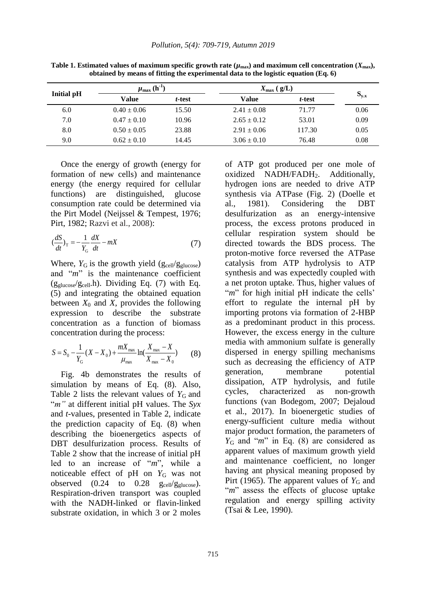| <b>Initial pH</b> | $\mu_{\text{max}}$ (h <sup>-1</sup> ) |        | $X_{\text{max}}$ ( $g/L$ ) |        |           |
|-------------------|---------------------------------------|--------|----------------------------|--------|-----------|
|                   | Value                                 | t-test | Value                      | t-test | $S_{y.x}$ |
| 6.0               | $0.40 \pm 0.06$                       | 15.50  | $2.41 \pm 0.08$            | 71.77  | 0.06      |
| 7.0               | $0.47 \pm 0.10$                       | 10.96  | $2.65 \pm 0.12$            | 53.01  | 0.09      |
| 8.0               | $0.50 \pm 0.05$                       | 23.88  | $2.91 \pm 0.06$            | 117.30 | 0.05      |
| 9.0               | $0.62 \pm 0.10$                       | 14.45  | $3.06 \pm 0.10$            | 76.48  | 0.08      |

**Table 1. Estimated values of maximum specific growth rate (** $\mu_{\text{max}}$ **) and maximum cell concentration (** $X_{\text{max}}$ **), obtained by means of fitting the experimental data to the logistic equation (Eq. 6)**

Once the energy of growth (energy for formation of new cells) and maintenance energy (the energy required for cellular functions) are distinguished, glucose consumption rate could be determined via the Pirt Model (Neijssel & Tempest, 1976; Pirt, 1982; Razvi et al., 2008):

$$
\left(\frac{dS}{dt}\right)_{\rm T} = -\frac{1}{Y_{\rm G}} \frac{dX}{dt} - mX\tag{7}
$$

Where,  $Y_G$  is the growth yield ( $g_{cell}/g_{glucose}$ ) and "*m*" is the maintenance coefficient  $(g_{glucose}/g_{cell}h)$ . Dividing Eq. (7) with Eq. (5) and integrating the obtained equation between  $X_0$  and  $X$ , provides the following expression to describe the substrate concentration as a function of biomass concentration during the process:

$$
S = S_0 - \frac{1}{Y_{\rm G}} (X - X_0) + \frac{mX_{\rm max}}{\mu_{\rm max}} \ln(\frac{X_{\rm max} - X}{X_{\rm max} - X_0})
$$
 (8)

Fig. 4b demonstrates the results of simulation by means of Eq. (8). Also, Table 2 lists the relevant values of  $Y_G$  and "*m"* at different initial pH values. The *Syx* and *t*-values, presented in Table 2, indicate the prediction capacity of Eq. (8) when describing the bioenergetics aspects of DBT desulfurization process. Results of Table 2 show that the increase of initial pH led to an increase of "*m*", while a noticeable effect of  $pH$  on  $Y_G$  was not observed  $(0.24 \text{ to } 0.28 \text{ g}_{cell}/g_{glucose})$ . Respiration-driven transport was coupled with the NADH-linked or flavin-linked substrate oxidation, in which 3 or 2 moles of ATP got produced per one mole of oxidized NADH/FADH<sub>2</sub>. Additionally, hydrogen ions are needed to drive ATP synthesis via ATPase (Fig. 2) (Doelle et al., 1981). Considering the DBT desulfurization as an energy-intensive process, the excess protons produced in cellular respiration system should be directed towards the BDS process. The proton-motive force reversed the ATPase catalysis from ATP hydrolysis to ATP synthesis and was expectedly coupled with a net proton uptake. Thus, higher values of "*m*" for high initial pH indicate the cells" effort to regulate the internal pH by importing protons via formation of 2-HBP as a predominant product in this process. However, the excess energy in the culture media with ammonium sulfate is generally dispersed in energy spilling mechanisms such as decreasing the efficiency of ATP generation, membrane potential dissipation, ATP hydrolysis, and futile cycles, characterized as non-growth functions (van Bodegom, 2007; Dejaloud et al., 2017). In bioenergetic studies of energy-sufficient culture media without major product formation, the parameters of *Y*<sub>G</sub> and "*m*" in Eq. (8) are considered as apparent values of maximum growth yield and maintenance coefficient, no longer having ant physical meaning proposed by Pirt (1965). The apparent values of  $Y_G$  and "*m*" assess the effects of glucose uptake regulation and energy spilling activity (Tsai & Lee, 1990).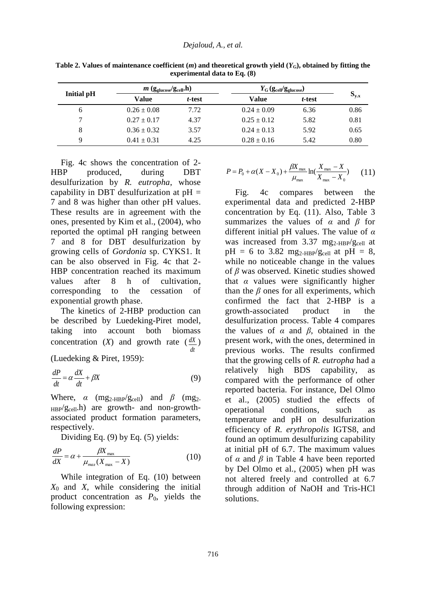|                   | $m$ (g <sub>glucose</sub> /g <sub>cell</sub> ,h) |        | $Y_{\text{G}}(\text{g}_{\text{cell}}/\text{g}_{\text{glucose}})$ |        |           |  |
|-------------------|--------------------------------------------------|--------|------------------------------------------------------------------|--------|-----------|--|
| <b>Initial pH</b> | Value                                            | t-test | Value                                                            | t-test | $S_{y.x}$ |  |
| 6                 | $0.26 \pm 0.08$                                  | 7.72   | $0.24 \pm 0.09$                                                  | 6.36   | 0.86      |  |
|                   | $0.27 \pm 0.17$                                  | 4.37   | $0.25 \pm 0.12$                                                  | 5.82   | 0.81      |  |
| 8                 | $0.36 \pm 0.32$                                  | 3.57   | $0.24 \pm 0.13$                                                  | 5.92   | 0.65      |  |
| Q                 | $0.41 \pm 0.31$                                  | 4.25   | $0.28 \pm 0.16$                                                  | 5.42   | 0.80      |  |

**Table 2. Values of maintenance coefficient**  $(m)$  **and theoretical growth yield**  $(Y_G)$ **, obtained by fitting the experimental data to Eq. (8)**

Fig. 4c shows the concentration of 2- HBP produced, during DBT desulfurization by *R. eutropha*, whose capability in DBT desulfurization at  $pH =$ 7 and 8 was higher than other pH values. These results are in agreement with the ones, presented by Kim et al., (2004), who reported the optimal pH ranging between 7 and 8 for DBT desulfurization by growing cells of *Gordonia* sp. CYKS1. It can be also observed in Fig. 4c that 2- HBP concentration reached its maximum values after 8 h of cultivation, corresponding to the cessation of exponential growth phase.

The kinetics of 2-HBP production can be described by Luedeking-Piret model, taking into account both biomass concentration  $(X)$  and growth rate  $(\frac{dX}{d})$ *dt*

(Luedeking & Piret, 1959):

$$
\frac{dP}{dt} = \alpha \frac{dX}{dt} + \beta X\tag{9}
$$

Where,  $\alpha$  (mg<sub>2-HBP</sub>/g<sub>cell</sub>) and  $\beta$  (mg<sub>2-</sub>  $_{\rm HBP}/g_{\rm cell}$ .h) are growth- and non-growthassociated product formation parameters, respectively.

Dividing Eq. (9) by Eq. (5) yields:

$$
\frac{dP}{dX} = \alpha + \frac{\beta X_{\text{max}}}{\mu_{\text{max}}(X_{\text{max}} - X)}
$$
(10)

While integration of Eq. (10) between *X*0 and *X*, while considering the initial product concentration as  $P_0$ , yields the following expression:

$$
P = P_0 + \alpha (X - X_0) + \frac{\beta X_{\text{max}}}{\mu_{\text{max}}} \ln(\frac{X_{\text{max}} - X}{X_{\text{max}} - X_0}) \tag{11}
$$

Fig. 4c compares between the experimental data and predicted 2-HBP concentration by Eq. (11). Also, Table 3 summarizes the values of *α* and *β* for different initial pH values. The value of *α* was increased from  $3.37$  mg<sub>2-HBP</sub>/g<sub>cell</sub> at  $pH = 6$  to 3.82 mg<sub>2-HBP</sub>/g<sub>cell</sub> at  $pH = 8$ , while no noticeable change in the values of *β* was observed. Kinetic studies showed that  $\alpha$  values were significantly higher than the  $\beta$  ones for all experiments, which confirmed the fact that 2-HBP is a growth-associated product in the desulfurization process. Table 4 compares the values of *α* and *β*, obtained in the present work, with the ones, determined in previous works. The results confirmed that the growing cells of *R. eutropha* had a relatively high BDS capability, as compared with the performance of other reported bacteria. For instance, Del Olmo et al., (2005) studied the effects of operational conditions, such as temperature and pH on desulfurization efficiency of *R. erythropolis* IGTS8, and found an optimum desulfurizing capability at initial pH of 6.7. The maximum values of  $\alpha$  and  $\beta$  in Table 4 have been reported by Del Olmo et al., (2005) when pH was not altered freely and controlled at 6.7 through addition of NaOH and Tris-HCl solutions.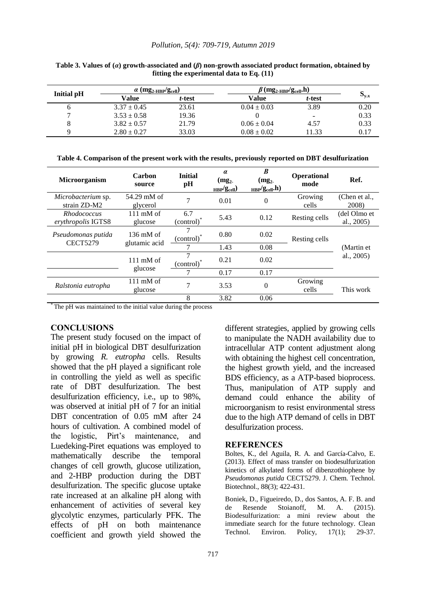#### *Pollution, 5(4): 709-719, Autumn 2019*

|                   | $\alpha$ (mg <sub>2-HBP</sub> /g <sub>cell</sub> ) |        | $\beta$ (mg <sub>2-HBP</sub> /g <sub>cell</sub> ,h) |        |                                      |
|-------------------|----------------------------------------------------|--------|-----------------------------------------------------|--------|--------------------------------------|
| <b>Initial pH</b> | Value                                              | t-test | Value                                               | t-test | $\mathbf{v}_{\mathbf{v},\mathbf{x}}$ |
| O                 | $3.37 \pm 0.45$                                    | 23.61  | $0.04 \pm 0.03$                                     | 3.89   | 0.20                                 |
|                   | $3.53 \pm 0.58$                                    | 19.36  |                                                     | -      | 0.33                                 |
|                   | $3.82 \pm 0.57$                                    | 21.79  | $0.06 \pm 0.04$                                     | 4.57   | 0.33                                 |
|                   | $2.80 \pm 0.27$                                    | 33.03  | $0.08 \pm 0.02$                                     | 11.33  | 0.17                                 |

**Table 3. Values of (***α***) growth-associated and (***β***) non-growth associated product formation, obtained by fitting the experimental data to Eq. (11)**

|  |  |  |  |  |  |  |  | Table 4. Comparison of the present work with the results, previously reported on DBT desulfurization |
|--|--|--|--|--|--|--|--|------------------------------------------------------------------------------------------------------|
|--|--|--|--|--|--|--|--|------------------------------------------------------------------------------------------------------|

| Microorganism                            | Carbon<br>source                     | <b>Initial</b><br>pH                         | $\alpha$<br>(mg <sub>2</sub> )<br>$_{\rm HBP}/g_{cell})$ | B<br>(mg <sub>2</sub> )<br>$_{\rm HBP}/g_{\rm cell}$ ,h) | <b>Operational</b><br>mode | Ref.                       |
|------------------------------------------|--------------------------------------|----------------------------------------------|----------------------------------------------------------|----------------------------------------------------------|----------------------------|----------------------------|
| Microbacterium sp.<br>strain ZD-M2       | 54.29 mM of<br>glycerol              | 7                                            | 0.01                                                     | $\Omega$                                                 | Growing<br>cells           | (Chen et al.,<br>2008)     |
| <i>Rhodococcus</i><br>erythropolis IGTS8 | $111 \text{ mM of}$<br>glucose       | 6.7<br>(control) <sup>*</sup>                | 5.43                                                     | 0.12                                                     | Resting cells              | (del Olmo et<br>al., 2005) |
| Pseudomonas putida<br><b>CECT5279</b>    | $136 \text{ mM of}$<br>glutamic acid | $\left($ control $\right)$ <sup>*</sup>      | 0.80                                                     | 0.02                                                     | Resting cells              | (Martin et)<br>al., 2005)  |
|                                          |                                      |                                              | 1.43                                                     | 0.08                                                     |                            |                            |
|                                          | $111 \text{ mM of}$                  | 7<br>$\left($ control $\right)$ <sup>*</sup> | 0.21                                                     | 0.02                                                     |                            |                            |
|                                          | glucose                              |                                              | 0.17                                                     | 0.17                                                     |                            |                            |
| Ralstonia eutropha                       | $111 \text{ mM of}$<br>glucose       | 7                                            | 3.53                                                     | $\Omega$                                                 | Growing<br>cells           | This work                  |
|                                          |                                      | 8                                            | 3.82                                                     | 0.06                                                     |                            |                            |

\* The pH was maintained to the initial value during the process

#### **CONCLUSIONS**

The present study focused on the impact of initial pH in biological DBT desulfurization by growing *R. eutropha* cells. Results showed that the pH played a significant role in controlling the yield as well as specific rate of DBT desulfurization. The best desulfurization efficiency, i.e., up to 98%, was observed at initial pH of 7 for an initial DBT concentration of 0.05 mM after 24 hours of cultivation. A combined model of the logistic, Pirt's maintenance, and Luedeking-Piret equations was employed to mathematically describe the temporal changes of cell growth, glucose utilization, and 2-HBP production during the DBT desulfurization. The specific glucose uptake rate increased at an alkaline pH along with enhancement of activities of several key glycolytic enzymes, particularly PFK. The effects of pH on both maintenance coefficient and growth yield showed the

different strategies, applied by growing cells to manipulate the NADH availability due to intracellular ATP content adjustment along with obtaining the highest cell concentration. the highest growth yield, and the increased BDS efficiency, as a ATP-based bioprocess. Thus, manipulation of ATP supply and demand could enhance the ability of microorganism to resist environmental stress due to the high ATP demand of cells in DBT desulfurization process.

#### **REFERENCES**

Boltes, K., del Aguila, R. A. and García-Calvo, E. (2013). Effect of mass transfer on biodesulfurization kinetics of alkylated forms of dibenzothiophene by *Pseudomonas putida* CECT5279. J. Chem. Technol. Biotechnol., 88(3); 422-431.

Boniek, D., Figueiredo, D., dos Santos, A. F. B. and de Resende Stoianoff, M. A. (2015). Biodesulfurization: a mini review about the immediate search for the future technology. Clean Technol. Environ. Policy, 17(1); 29-37.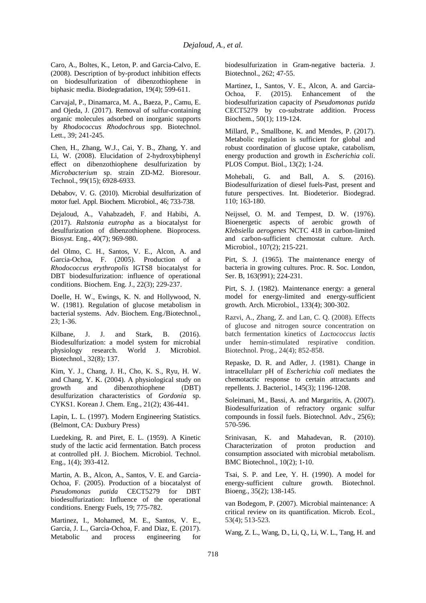Caro, A., Boltes, K., Leton, P. and Garcia-Calvo, E. (2008). Description of by-product inhibition effects on biodesulfurization of dibenzothiophene in biphasic media. Biodegradation, 19(4); 599-611.

Carvajal, P., Dinamarca, M. A., Baeza, P., Camu, E. and Ojeda, J. (2017). Removal of sulfur-containing organic molecules adsorbed on inorganic supports by *Rhodococcus Rhodochrous* spp. Biotechnol. Lett., 39; 241-245.

Chen, H., Zhang, W.J., Cai, Y. B., Zhang, Y. and Li, W. (2008). Elucidation of 2-hydroxybiphenyl effect on dibenzothiophene desulfurization by *Microbacterium* sp. strain ZD-M2. Bioresour. Technol., 99(15); 6928-6933.

Debabov, V. G. (2010). Microbial desulfurization of motor fuel. Appl. Biochem. Microbiol., 46; 733-738.

Dejaloud, A., Vahabzadeh, F. and Habibi, A. (2017). *Ralstonia eutropha* as a biocatalyst for desulfurization of dibenzothiophene. Bioprocess. Biosyst. Eng., 40(7); 969-980.

del Olmo, C. H., Santos, V. E., Alcon, A. and Garcia-Ochoa, F. (2005). Production of a *Rhodococcus erythropolis* IGTS8 biocatalyst for DBT biodesulfurization: influence of operational conditions. Biochem. Eng. J., 22(3); 229-237.

Doelle, H. W., Ewings, K. N. and Hollywood, N. W. (1981). Regulation of glucose metabolism in bacterial systems. Adv. Biochem. Eng./Biotechnol., 23; 1-36.

Kilbane, J. J. and Stark, B. (2016). Biodesulfurization: a model system for microbial physiology research. World J. Microbiol. Biotechnol., 32(8); 137.

Kim, Y. J., Chang, J. H., Cho, K. S., Ryu, H. W. and Chang, Y. K. (2004). A physiological study on growth and dibenzothiophene (DBT) desulfurization characteristics of *Gordonia* sp. CYKS1. Korean J. Chem. Eng., 21(2); 436-441.

Lapin, L. L. (1997). Modern Engineering Statistics. (Belmont, CA: Duxbury Press)

Luedeking, R. and Piret, E. L. (1959). A Kinetic study of the lactic acid fermentation. Batch process at controlled pH. J. Biochem. Microbiol. Technol. Eng., 1(4); 393-412.

Martin, A. B., Alcon, A., Santos, V. E. and Garcia-Ochoa, F. (2005). Production of a biocatalyst of *Pseudomonas putida* CECT5279 for DBT biodesulfurization: Influence of the operational conditions. Energy Fuels, 19; 775-782.

Martinez, I., Mohamed, M. E., Santos, V. E., Garcia, J. L., Garcia-Ochoa, F. and Diaz, E. (2017). Metabolic and process engineering for biodesulfurization in Gram-negative bacteria. J. Biotechnol., 262; 47-55.

Martinez, I., Santos, V. E., Alcon, A. and Garcia-Ochoa, F. (2015). Enhancement of the biodesulfurization capacity of *Pseudomonas putida* CECT5279 by co-substrate addition. Process Biochem., 50(1); 119-124.

Millard, P., Smallbone, K. and Mendes, P. (2017). Metabolic regulation is sufficient for global and robust coordination of glucose uptake, catabolism, energy production and growth in *Escherichia coli*. PLOS Comput. Biol., 13(2); 1-24.

Mohebali, G. and Ball, A. S. (2016). Biodesulfurization of diesel fuels-Past, present and future perspectives. Int. Biodeterior. Biodegrad. 110; 163-180.

Neijssel, O. M. and Tempest, D. W. (1976). Bioenergetic aspects of aerobic growth of *Klebsiella aerogenes* NCTC 418 in carbon-limited and carbon-sufficient chemostat culture. Arch. Microbiol., 107(2); 215-221.

Pirt, S. J. (1965). The maintenance energy of bacteria in growing cultures. Proc. R. Soc. London, Ser. B, 163(991); 224-231.

Pirt, S. J. (1982). Maintenance energy: a general model for energy-limited and energy-sufficient growth. Arch. Microbiol., 133(4); 300-302.

Razvi, A., Zhang, Z. and Lan, C. Q. (2008). Effects of glucose and nitrogen source concentration on batch fermentation kinetics of *Lactococcus lactis* under hemin-stimulated respirative condition. Biotechnol. Prog., 24(4); 852-858.

Repaske, D. R. and Adler, J. (1981). Change in intracellularr pH of *Escherichia coli* mediates the chemotactic response to certain attractants and repellents. J. Bacteriol., 145(3); 1196-1208.

Soleimani, M., Bassi, A. and Margaritis, A. (2007). Biodesulfurization of refractory organic sulfur compounds in fossil fuels. Biotechnol. Adv., 25(6); 570-596.

Srinivasan, K. and Mahadevan, R. (2010). Characterization of proton production and consumption associated with microbial metabolism. BMC Biotechnol., 10(2); 1-10.

Tsai, S. P. and Lee, Y. H. (1990). A model for energy-sufficient culture growth. Biotechnol. Bioeng., 35(2); 138-145.

van Bodegom, P. (2007). Microbial maintenance: A critical review on its quantification. Microb. Ecol., 53(4); 513-523.

Wang, Z. L., Wang, D., Li, Q., Li, W. L., Tang, H. and